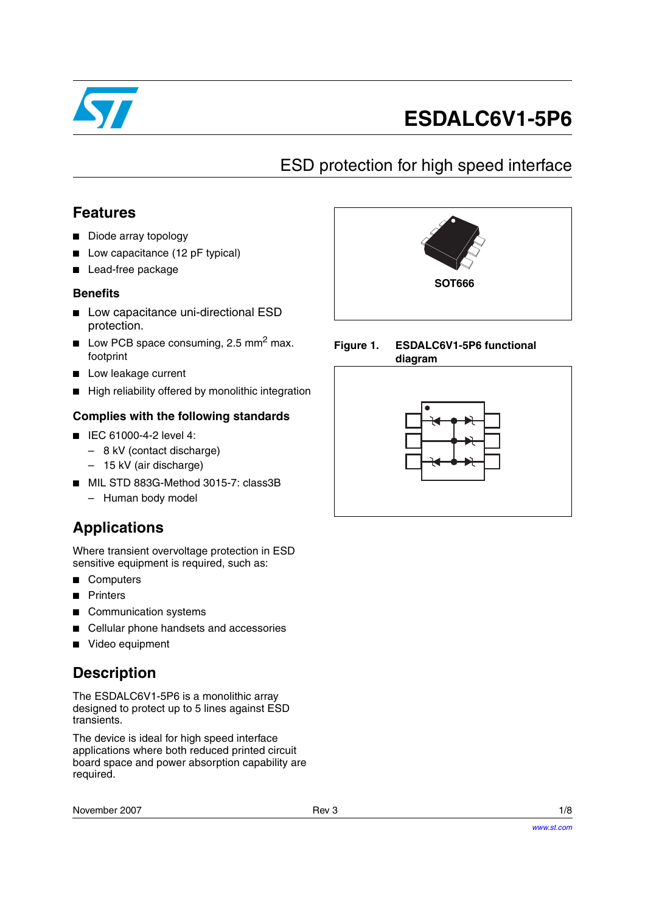

# **ESDALC6V1-5P6**

# ESD protection for high speed interface

### **Features**

- Diode array topology
- Low capacitance (12 pF typical)
- Lead-free package

### **Benefits**

- Low capacitance uni-directional ESD protection.
- **■** Low PCB space consuming, 2.5 mm<sup>2</sup> max. footprint
- Low leakage current
- High reliability offered by monolithic integration

### **Complies with the following standards**

- IEC 61000-4-2 level 4:
	- 8 kV (contact discharge)
	- 15 kV (air discharge)
- MIL STD 883G-Method 3015-7: class3B
	- Human body model

# **Applications**

Where transient overvoltage protection in ESD sensitive equipment is required, such as:

- Computers
- **Printers**
- Communication systems
- Cellular phone handsets and accessories
- Video equipment

## **Description**

The ESDALC6V1-5P6 is a monolithic array designed to protect up to 5 lines against ESD transients.

The device is ideal for high speed interface applications where both reduced printed circuit board space and power absorption capability are required.

November 2007 Rev 3 1/8





**Figure 1. ESDALC6V1-5P6 functional diagram**

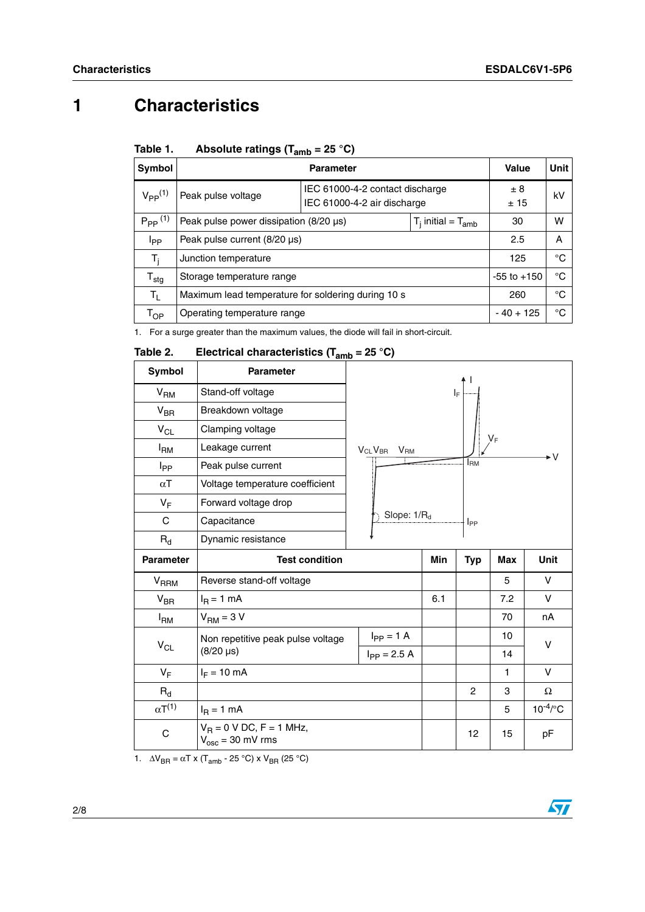# **1 Characteristics**

| <b>Symbol</b>               | <b>Parameter</b>                                   |                                                                |                           | Value           | Unit |
|-----------------------------|----------------------------------------------------|----------------------------------------------------------------|---------------------------|-----------------|------|
| $V_{PP}$ <sup>(1)</sup>     | Peak pulse voltage                                 | IEC 61000-4-2 contact discharge<br>IEC 61000-4-2 air discharge |                           | $\pm$ 8<br>±15  | kV   |
| $P_{PP}$ <sup>(1)</sup>     | Peak pulse power dissipation $(8/20 \,\mu s)$      |                                                                | $T_i$ initial = $T_{amb}$ | 30              | w    |
| Ipp                         | Peak pulse current (8/20 µs)                       |                                                                |                           | 2.5             | A    |
| T,                          | Junction temperature                               |                                                                |                           | 125             | °C   |
| $\mathsf{T}_{\textsf{stg}}$ | Storage temperature range                          |                                                                |                           | $-55$ to $+150$ | °C   |
| Tı.                         | Maximum lead temperature for soldering during 10 s |                                                                |                           | 260             | °C   |
| Тор                         | Operating temperature range                        |                                                                |                           | $-40+125$       | °C   |

#### Table 1. Absolute ratings  $(T<sub>amb</sub> = 25 °C)$

<span id="page-1-0"></span>1. For a surge greater than the maximum values, the diode will fail in short-circuit.

#### Table 2. **Electrical characteristics (T<sub>amb</sub> = 25 °C)**

|                        | <b>vamo</b>                                                        |                                              |            |             |       |               |  |
|------------------------|--------------------------------------------------------------------|----------------------------------------------|------------|-------------|-------|---------------|--|
| <b>Symbol</b>          | <b>Parameter</b>                                                   |                                              |            |             |       |               |  |
| V <sub>RM</sub>        | Stand-off voltage                                                  |                                              |            |             |       |               |  |
| $V_{BR}$               | Breakdown voltage                                                  |                                              |            |             |       |               |  |
| $V_{CL}$               | Clamping voltage                                                   |                                              |            |             | $V_F$ |               |  |
| $I_{\mathsf{RM}}$      | Leakage current<br>V <sub>CL</sub> V <sub>BR</sub> V <sub>RM</sub> |                                              |            |             |       |               |  |
| $I_{\mathsf{PP}}$      | Peak pulse current                                                 |                                              |            | <b>I</b> RM |       |               |  |
| $\alpha$ T             | Voltage temperature coefficient                                    |                                              |            |             |       |               |  |
| $V_F$                  | Forward voltage drop                                               |                                              |            |             |       |               |  |
| $\mathsf{C}$           | Capacitance                                                        | Slope: 1/R <sub>d</sub><br>$ $ <sub>PP</sub> |            |             |       |               |  |
| $R_{d}$                | Dynamic resistance                                                 |                                              |            |             |       |               |  |
| <b>Parameter</b>       | <b>Test condition</b>                                              |                                              | <b>Min</b> | <b>Typ</b>  | Max   | <b>Unit</b>   |  |
| <b>V<sub>RRM</sub></b> | Reverse stand-off voltage                                          |                                              |            |             | 5     | V             |  |
| $V_{BR}$               | $IR = 1 mA$                                                        |                                              | 6.1        |             | 7.2   | $\vee$        |  |
| $I_{\rm RM}$           | $VRM = 3 V$                                                        |                                              |            |             | 70    | nA            |  |
|                        | Non repetitive peak pulse voltage                                  | $I_{PP} = 1 A$                               |            |             | 10    | $\vee$        |  |
| $V_{CL}$               | $(8/20 \,\mu s)$                                                   | $I_{PP} = 2.5 A$                             |            |             | 14    |               |  |
|                        | $I_F = 10$ mA                                                      |                                              |            |             |       |               |  |
| $V_F$                  |                                                                    |                                              |            |             | 1     | $\vee$        |  |
| $R_{d}$                |                                                                    |                                              |            | 2           | 3     | Ω             |  |
| $\alpha T^{(1)}$       | $IB = 1 mA$                                                        |                                              |            |             | 5     | $10^{-4}$ /°C |  |

1.  $\Delta V_{\text{BR}} = \alpha T \times (T_{\text{amb}} - 25 \degree C) \times V_{\text{BR}} (25 \degree C)$ 

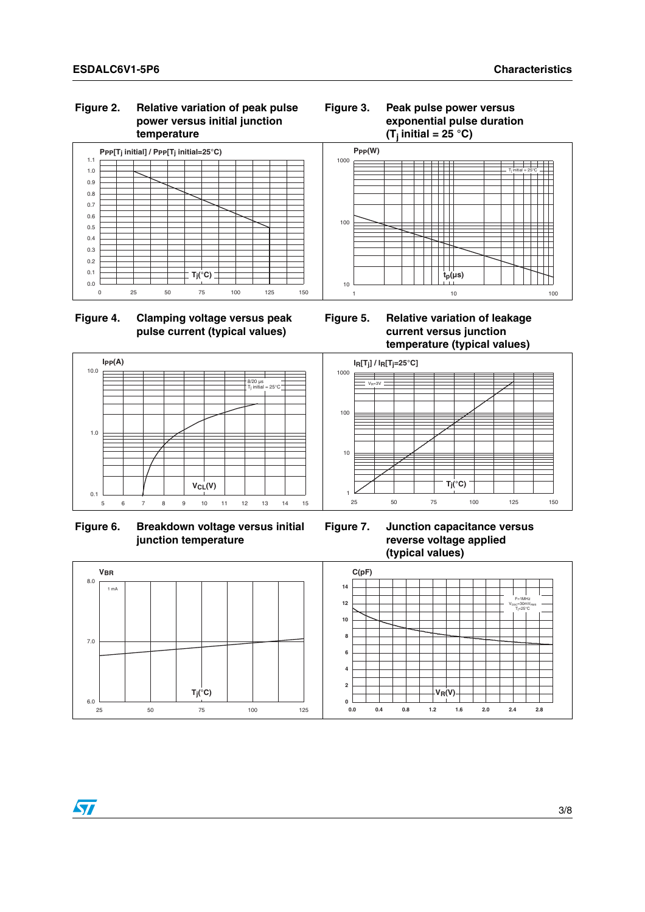#### **Figure 2. Relative variation of peak pulse power versus initial junction temperature**



#### **Figure 4. Clamping voltage versus peak pulse current (typical values)**



**Figure 6. Breakdown voltage versus initial junction temperature** 

#### **Figure 3. Peak pulse power versus exponential pulse duration**   $(T_i$  initial = 25 °C)



**Figure 5. Relative variation of leakage current versus junction temperature (typical values)**



**Figure 7. Junction capacitance versus reverse voltage applied (typical values)**

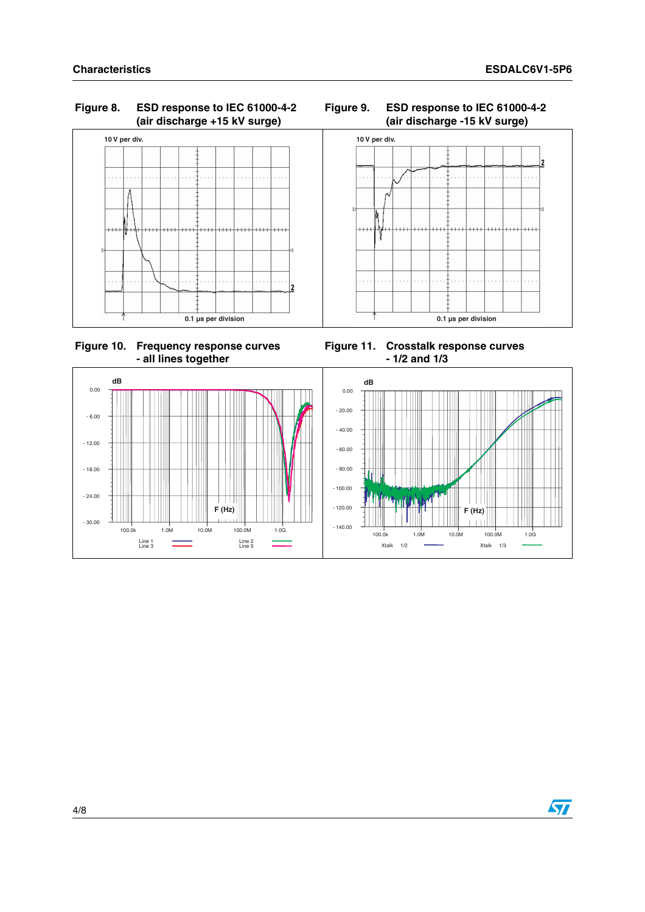#### **Figure 8. ESD response to IEC 61000-4-2 (air discharge +15 kV surge)**



 **Figure 10. Frequency response curves - all lines together**

**Figure 11. Crosstalk response curves - 1/2 and 1/3**



#### **Figure 9. ESD response to IEC 61000-4-2 (air discharge -15 kV surge)**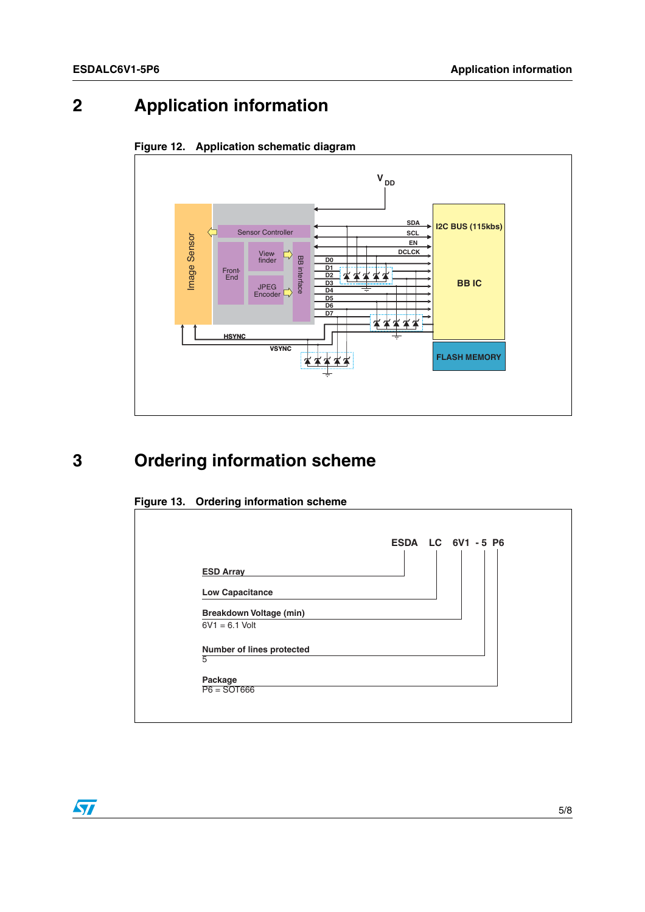# **2 Application information**





# **3 Ordering information scheme**





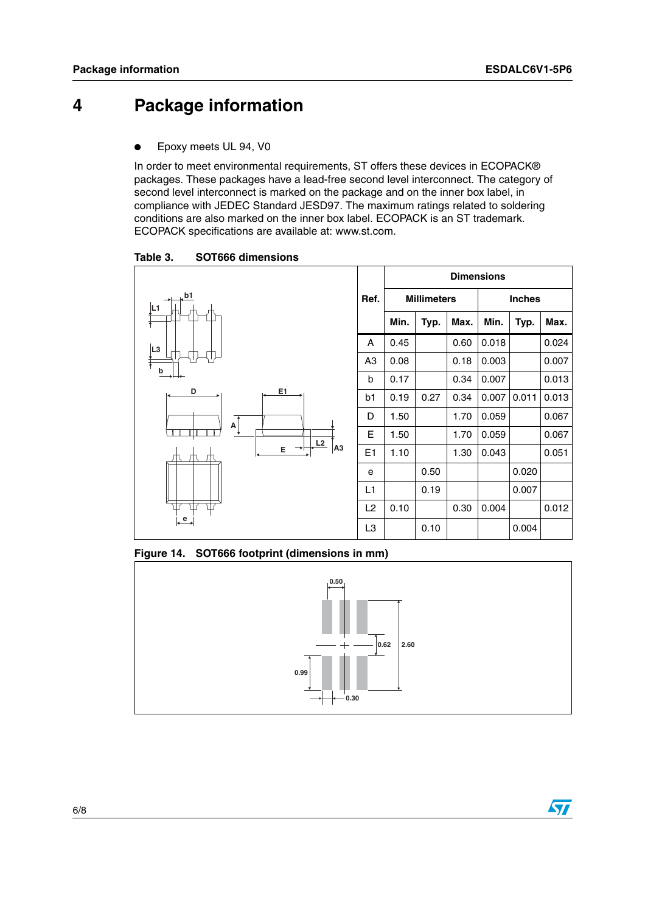## **4 Package information**

Epoxy meets UL 94, V0

In order to meet environmental requirements, ST offers these devices in ECOPACK® packages. These packages have a lead-free second level interconnect. The category of second level interconnect is marked on the package and on the inner box label, in compliance with JEDEC Standard JESD97. The maximum ratings related to soldering conditions are also marked on the inner box label. ECOPACK is an ST trademark. ECOPACK specifications are available at: www.st.com.

Table 3. **Table 3. SOT666 dimensions**



**Figure 14. SOT666 footprint (dimensions in mm)**



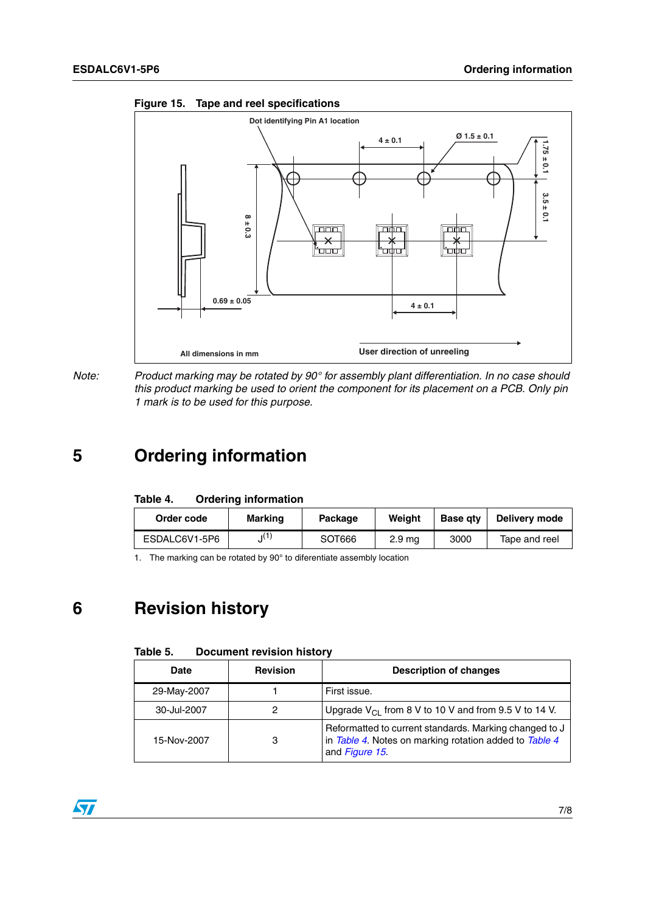

<span id="page-6-1"></span>



# **5 Ordering information**

<span id="page-6-0"></span>

| <b>Ordering information</b><br>Table 4. |
|-----------------------------------------|
|-----------------------------------------|

| Order code    | Marking         | Package | Weiaht            | <b>Base gtv</b> | Delivery mode |
|---------------|-----------------|---------|-------------------|-----------------|---------------|
| ESDALC6V1-5P6 | $\mathbf{I}$ (1 | SOT666  | 2.9 <sub>ma</sub> | 3000            | Tape and reel |

1. The marking can be rotated by 90° to diferentiate assembly location

# **6 Revision history**

| Table 5. | <b>Document revision history</b> |  |  |
|----------|----------------------------------|--|--|
|----------|----------------------------------|--|--|

| Date        | <b>Revision</b> | <b>Description of changes</b>                                                                                                      |
|-------------|-----------------|------------------------------------------------------------------------------------------------------------------------------------|
| 29-May-2007 |                 | First issue.                                                                                                                       |
| 30-Jul-2007 | 2               | Upgrade $V_{\text{Cl}}$ from 8 V to 10 V and from 9.5 V to 14 V.                                                                   |
| 15-Nov-2007 | 3               | Reformatted to current standards. Marking changed to J<br>in Table 4. Notes on marking rotation added to Table 4<br>and Figure 15. |